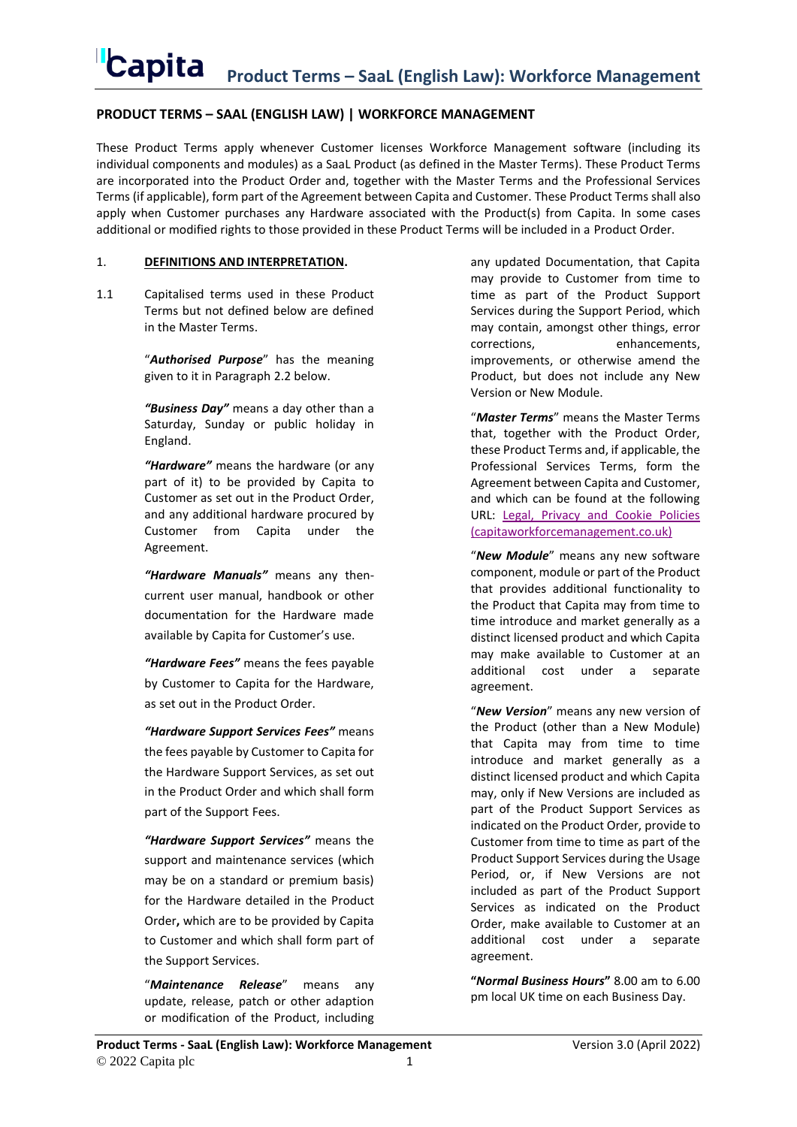## **PRODUCT TERMS – SAAL (ENGLISH LAW) | WORKFORCE MANAGEMENT**

These Product Terms apply whenever Customer licenses Workforce Management software (including its individual components and modules) as a SaaL Product (as defined in the Master Terms). These Product Terms are incorporated into the Product Order and, together with the Master Terms and the Professional Services Terms (if applicable), form part of the Agreement between Capita and Customer. These Product Terms shall also apply when Customer purchases any Hardware associated with the Product(s) from Capita. In some cases additional or modified rights to those provided in these Product Terms will be included in a Product Order.

### 1. **DEFINITIONS AND INTERPRETATION.**

1.1 Capitalised terms used in these Product Terms but not defined below are defined in the Master Terms.

> "*Authorised Purpose*" has the meaning given to it in Paragraph [2.2](#page-1-0) below.

> *"Business Day"* means a day other than a Saturday, Sunday or public holiday in England.

*"Hardware"* means the hardware (or any part of it) to be provided by Capita to Customer as set out in the Product Order, and any additional hardware procured by Customer from Capita under the Agreement.

*"Hardware Manuals"* means any thencurrent user manual, handbook or other documentation for the Hardware made available by Capita for Customer's use.

*"Hardware Fees"* means the fees payable by Customer to Capita for the Hardware, as set out in the Product Order.

*"Hardware Support Services Fees"* means the fees payable by Customer to Capita for the Hardware Support Services, as set out in the Product Order and which shall form part of the Support Fees.

*"Hardware Support Services"* means the support and maintenance services (which may be on a standard or premium basis) for the Hardware detailed in the Product Order**,** which are to be provided by Capita to Customer and which shall form part of the Support Services.

"*Maintenance Release*" means any update, release, patch or other adaption or modification of the Product, including

any updated Documentation, that Capita may provide to Customer from time to time as part of the Product Support Services during the Support Period, which may contain, amongst other things, error corrections, enhancements, improvements, or otherwise amend the Product, but does not include any New Version or New Module.

"*Master Terms*" means the Master Terms that, together with the Product Order, these Product Terms and, if applicable, the Professional Services Terms, form the Agreement between Capita and Customer, and which can be found at the following URL: [Legal, Privacy and Cookie Policies](https://www.capitaworkforcemanagement.co.uk/legal-and-cookie-policies/)  [\(capitaworkforcemanagement.co.uk\)](https://www.capitaworkforcemanagement.co.uk/legal-and-cookie-policies/)

"*New Module*" means any new software component, module or part of the Product that provides additional functionality to the Product that Capita may from time to time introduce and market generally as a distinct licensed product and which Capita may make available to Customer at an additional cost under a separate agreement.

"*New Version*" means any new version of the Product (other than a New Module) that Capita may from time to time introduce and market generally as a distinct licensed product and which Capita may, only if New Versions are included as part of the Product Support Services as indicated on the Product Order, provide to Customer from time to time as part of the Product Support Services during the Usage Period, or, if New Versions are not included as part of the Product Support Services as indicated on the Product Order, make available to Customer at an additional cost under a separate agreement.

**"***Normal Business Hours***"** 8.00 am to 6.00 pm local UK time on each Business Day.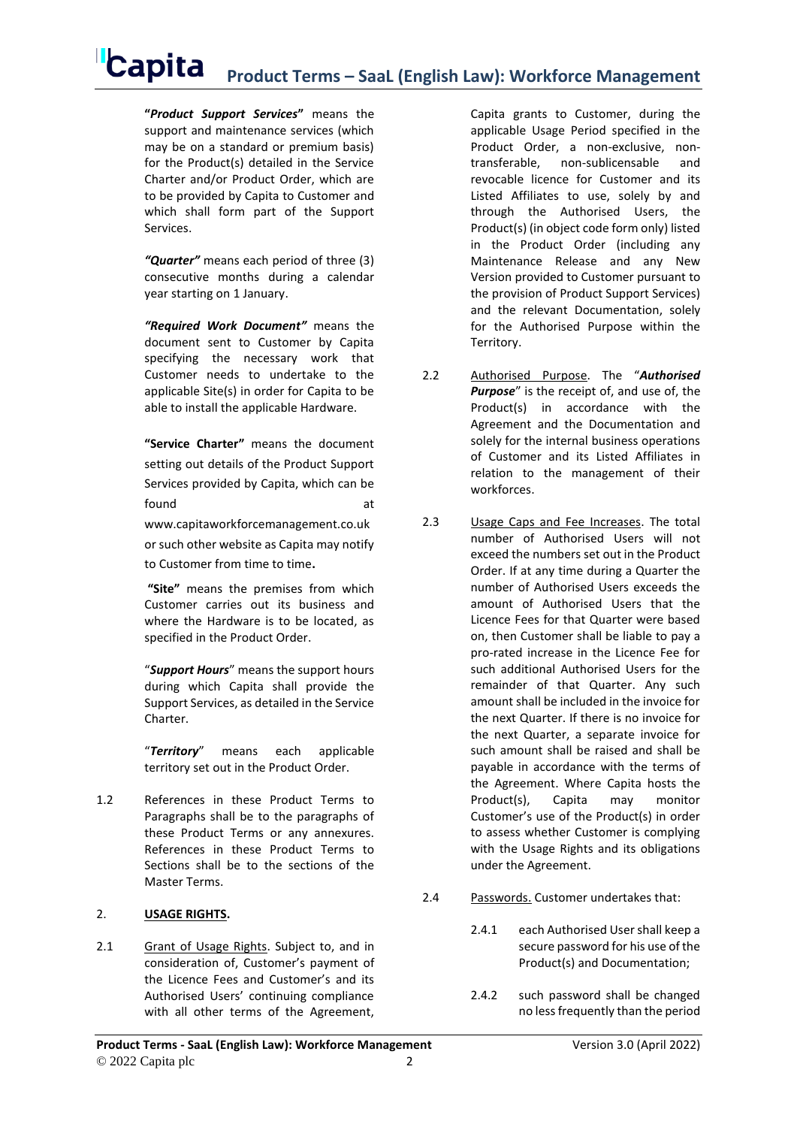**"***Product Support Services***"** means the support and maintenance services (which may be on a standard or premium basis) for the Product(s) detailed in the Service Charter and/or Product Order, which are to be provided by Capita to Customer and which shall form part of the Support Services.

*"Quarter"* means each period of three (3) consecutive months during a calendar year starting on 1 January.

*"Required Work Document"* means the document sent to Customer by Capita specifying the necessary work that Customer needs to undertake to the applicable Site(s) in order for Capita to be able to install the applicable Hardware.

**"Service Charter"** means the document setting out details of the Product Support Services provided by Capita, which can be found at a state of  $\overline{a}$  at  $\overline{a}$ www.capitaworkforcemanagement.co.uk or such other website as Capita may notify to Customer from time to time**.**

**"Site"** means the premises from which Customer carries out its business and where the Hardware is to be located, as specified in the Product Order.

"*Support Hours*" means the support hours during which Capita shall provide the Support Services, as detailed in the Service Charter.

"*Territory*" means each applicable territory set out in the Product Order.

1.2 References in these Product Terms to Paragraphs shall be to the paragraphs of these Product Terms or any annexures. References in these Product Terms to Sections shall be to the sections of the Master Terms.

## 2. **USAGE RIGHTS.**

2.1 Grant of Usage Rights. Subject to, and in consideration of, Customer's payment of the Licence Fees and Customer's and its Authorised Users' continuing compliance with all other terms of the Agreement,

Capita grants to Customer, during the applicable Usage Period specified in the Product Order, a non-exclusive, nontransferable, non-sublicensable and revocable licence for Customer and its Listed Affiliates to use, solely by and through the Authorised Users, the Product(s) (in object code form only) listed in the Product Order (including any Maintenance Release and any New Version provided to Customer pursuant to the provision of Product Support Services) and the relevant Documentation, solely for the Authorised Purpose within the Territory.

- <span id="page-1-0"></span>2.2 Authorised Purpose. The "*Authorised Purpose*" is the receipt of, and use of, the Product(s) in accordance with the Agreement and the Documentation and solely for the internal business operations of Customer and its Listed Affiliates in relation to the management of their workforces.
- 2.3 Usage Caps and Fee Increases. The total number of Authorised Users will not exceed the numbers set out in the Product Order. If at any time during a Quarter the number of Authorised Users exceeds the amount of Authorised Users that the Licence Fees for that Quarter were based on, then Customer shall be liable to pay a pro-rated increase in the Licence Fee for such additional Authorised Users for the remainder of that Quarter. Any such amount shall be included in the invoice for the next Quarter. If there is no invoice for the next Quarter, a separate invoice for such amount shall be raised and shall be payable in accordance with the terms of the Agreement. Where Capita hosts the Product(s), Capita may monitor Customer's use of the Product(s) in order to assess whether Customer is complying with the Usage Rights and its obligations under the Agreement.
- 2.4 Passwords. Customer undertakes that:
	- 2.4.1 each Authorised User shall keep a secure password for his use of the Product(s) and Documentation;
	- 2.4.2 such password shall be changed no less frequently than the period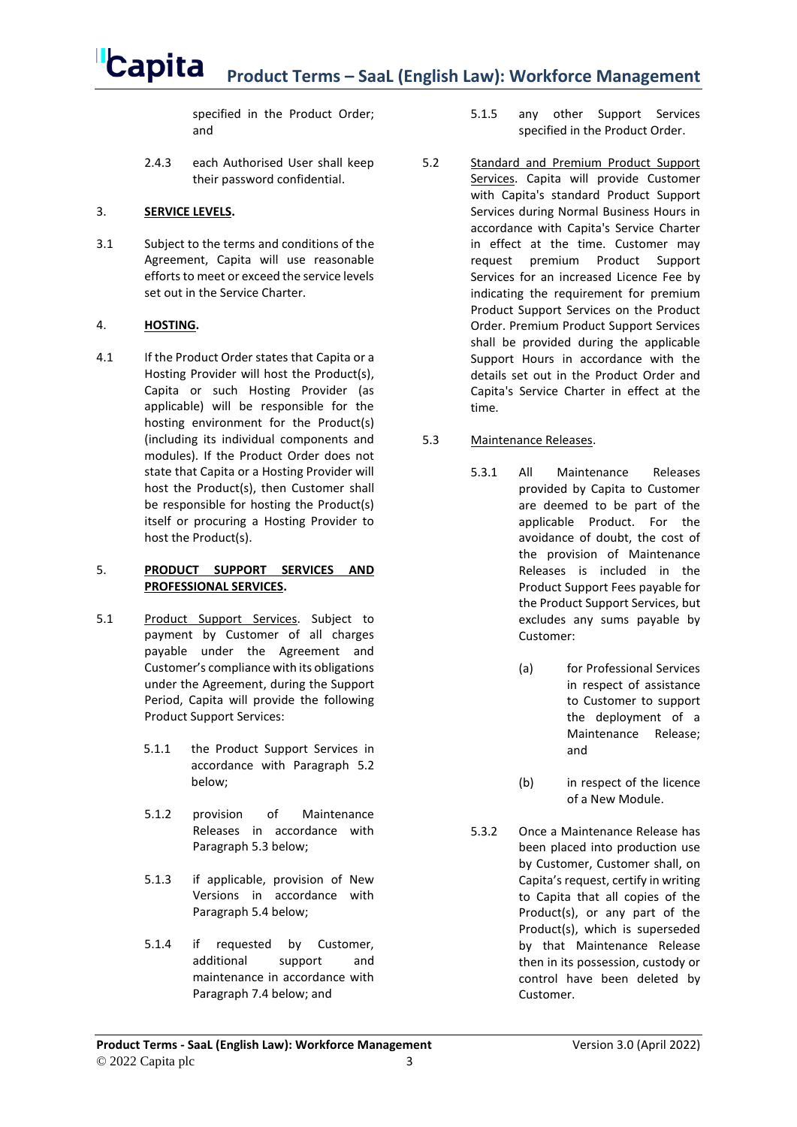specified in the Product Order; and

2.4.3 each Authorised User shall keep their password confidential.

### 3. **SERVICE LEVELS.**

3.1 Subject to the terms and conditions of the Agreement, Capita will use reasonable efforts to meet or exceed the service levels set out in the Service Charter.

## 4. **HOSTING.**

4.1 If the Product Order states that Capita or a Hosting Provider will host the Product(s), Capita or such Hosting Provider (as applicable) will be responsible for the hosting environment for the Product(s) (including its individual components and modules). If the Product Order does not state that Capita or a Hosting Provider will host the Product(s), then Customer shall be responsible for hosting the Product(s) itself or procuring a Hosting Provider to host the Product(s).

#### 5. **PRODUCT SUPPORT SERVICES AND PROFESSIONAL SERVICES.**

- 5.1 Product Support Services. Subject to payment by Customer of all charges payable under the Agreement and Customer's compliance with its obligations under the Agreement, during the Support Period, Capita will provide the following Product Support Services:
	- 5.1.1 the Product Support Services in accordance with Paragraph [5.2](#page-2-0) below;
	- 5.1.2 provision of Maintenance Releases in accordance with Paragraph [5.3](#page-2-1) below;
	- 5.1.3 if applicable, provision of New Versions in accordance with Paragraph [5.4](#page-3-0) below;
	- 5.1.4 if requested by Customer, additional support and maintenance in accordance with Paragraph [7.4](#page-6-0) below; and
- 5.1.5 any other Support Services specified in the Product Order.
- <span id="page-2-0"></span>5.2 Standard and Premium Product Support Services. Capita will provide Customer with Capita's standard Product Support Services during Normal Business Hours in accordance with Capita's Service Charter in effect at the time. Customer may request premium Product Support Services for an increased Licence Fee by indicating the requirement for premium Product Support Services on the Product Order. Premium Product Support Services shall be provided during the applicable Support Hours in accordance with the details set out in the Product Order and Capita's Service Charter in effect at the time.

## <span id="page-2-1"></span>5.3 Maintenance Releases.

- 5.3.1 All Maintenance Releases provided by Capita to Customer are deemed to be part of the applicable Product. For the avoidance of doubt, the cost of the provision of Maintenance Releases is included in the Product Support Fees payable for the Product Support Services, but excludes any sums payable by Customer:
	- (a) for Professional Services in respect of assistance to Customer to support the deployment of a Maintenance Release; and
	- (b) in respect of the licence of a New Module.
- 5.3.2 Once a Maintenance Release has been placed into production use by Customer, Customer shall, on Capita's request, certify in writing to Capita that all copies of the Product(s), or any part of the Product(s), which is superseded by that Maintenance Release then in its possession, custody or control have been deleted by Customer.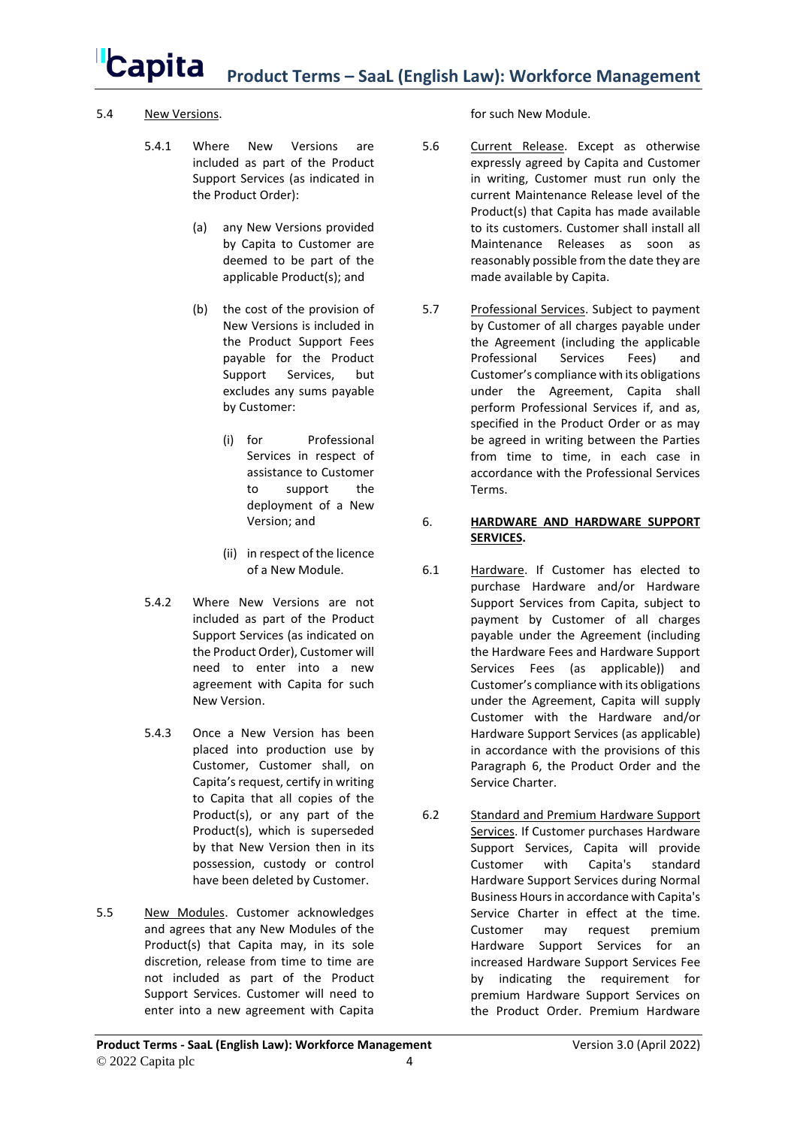### <span id="page-3-0"></span>5.4 New Versions.

- 5.4.1 Where New Versions are included as part of the Product Support Services (as indicated in the Product Order):
	- (a) any New Versions provided by Capita to Customer are deemed to be part of the applicable Product(s); and
	- (b) the cost of the provision of New Versions is included in the Product Support Fees payable for the Product Support Services, but excludes any sums payable by Customer:
		- (i) for Professional Services in respect of assistance to Customer to support the deployment of a New Version; and
		- (ii) in respect of the licence of a New Module.
- 5.4.2 Where New Versions are not included as part of the Product Support Services (as indicated on the Product Order), Customer will need to enter into a new agreement with Capita for such New Version.
- 5.4.3 Once a New Version has been placed into production use by Customer, Customer shall, on Capita's request, certify in writing to Capita that all copies of the Product(s), or any part of the Product(s), which is superseded by that New Version then in its possession, custody or control have been deleted by Customer.
- 5.5 New Modules. Customer acknowledges and agrees that any New Modules of the Product(s) that Capita may, in its sole discretion, release from time to time are not included as part of the Product Support Services. Customer will need to enter into a new agreement with Capita

for such New Module.

- 5.6 Current Release. Except as otherwise expressly agreed by Capita and Customer in writing, Customer must run only the current Maintenance Release level of the Product(s) that Capita has made available to its customers. Customer shall install all Maintenance Releases as soon as reasonably possible from the date they are made available by Capita.
- 5.7 Professional Services. Subject to payment by Customer of all charges payable under the Agreement (including the applicable Professional Services Fees) and Customer's compliance with its obligations under the Agreement, Capita shall perform Professional Services if, and as, specified in the Product Order or as may be agreed in writing between the Parties from time to time, in each case in accordance with the Professional Services Terms.

### <span id="page-3-1"></span>6. **HARDWARE AND HARDWARE SUPPORT SERVICES.**

- 6.1 Hardware. If Customer has elected to purchase Hardware and/or Hardware Support Services from Capita, subject to payment by Customer of all charges payable under the Agreement (including the Hardware Fees and Hardware Support Services Fees (as applicable)) and Customer's compliance with its obligations under the Agreement, Capita will supply Customer with the Hardware and/or Hardware Support Services (as applicable) in accordance with the provisions of this Paragraph [6,](#page-3-1) the Product Order and the Service Charter.
- 6.2 Standard and Premium Hardware Support Services. If Customer purchases Hardware Support Services, Capita will provide Customer with Capita's standard Hardware Support Services during Normal Business Hours in accordance with Capita's Service Charter in effect at the time. Customer may request premium Hardware Support Services for an increased Hardware Support Services Fee by indicating the requirement for premium Hardware Support Services on the Product Order. Premium Hardware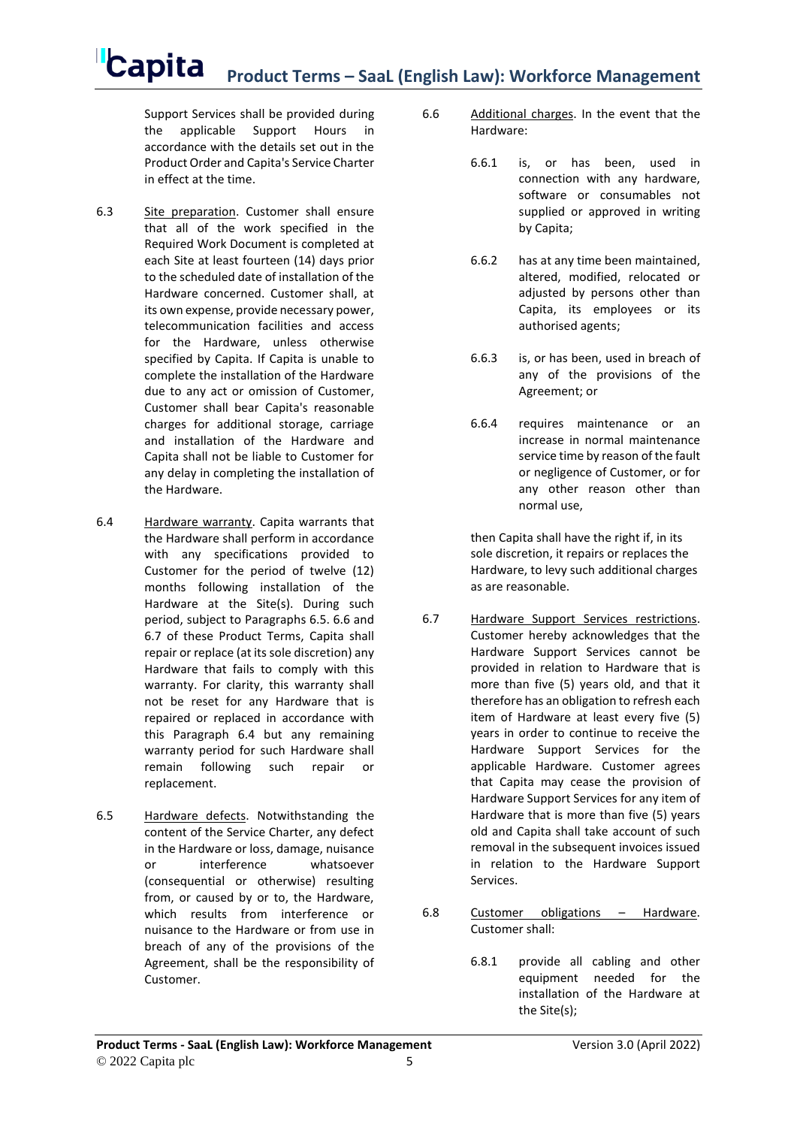Support Services shall be provided during the applicable Support Hours in accordance with the details set out in the Product Order and Capita's Service Charter in effect at the time.

- 6.3 Site preparation. Customer shall ensure that all of the work specified in the Required Work Document is completed at each Site at least fourteen (14) days prior to the scheduled date of installation of the Hardware concerned. Customer shall, at its own expense, provide necessary power, telecommunication facilities and access for the Hardware, unless otherwise specified by Capita. If Capita is unable to complete the installation of the Hardware due to any act or omission of Customer, Customer shall bear Capita's reasonable charges for additional storage, carriage and installation of the Hardware and Capita shall not be liable to Customer for any delay in completing the installation of the Hardware.
- <span id="page-4-3"></span>6.4 Hardware warranty. Capita warrants that the Hardware shall perform in accordance with any specifications provided to Customer for the period of twelve (12) months following installation of the Hardware at the Site(s). During such period, subject to Paragraphs [6.5.](#page-4-0) [6.6](#page-4-1) and [6.7](#page-4-2) of these Product Terms, Capita shall repair or replace (at its sole discretion) any Hardware that fails to comply with this warranty. For clarity, this warranty shall not be reset for any Hardware that is repaired or replaced in accordance with this Paragraph [6.4](#page-4-3) but any remaining warranty period for such Hardware shall remain following such repair or replacement.
- <span id="page-4-0"></span>6.5 Hardware defects. Notwithstanding the content of the Service Charter, any defect in the Hardware or loss, damage, nuisance or interference whatsoever (consequential or otherwise) resulting from, or caused by or to, the Hardware, which results from interference or nuisance to the Hardware or from use in breach of any of the provisions of the Agreement, shall be the responsibility of Customer.
- <span id="page-4-1"></span>6.6 Additional charges. In the event that the Hardware:
	- 6.6.1 is, or has been, used in connection with any hardware, software or consumables not supplied or approved in writing by Capita;
	- 6.6.2 has at any time been maintained, altered, modified, relocated or adjusted by persons other than Capita, its employees or its authorised agents;
	- 6.6.3 is, or has been, used in breach of any of the provisions of the Agreement; or
	- 6.6.4 requires maintenance or an increase in normal maintenance service time by reason of the fault or negligence of Customer, or for any other reason other than normal use,

then Capita shall have the right if, in its sole discretion, it repairs or replaces the Hardware, to levy such additional charges as are reasonable.

- <span id="page-4-2"></span>6.7 Hardware Support Services restrictions. Customer hereby acknowledges that the Hardware Support Services cannot be provided in relation to Hardware that is more than five (5) years old, and that it therefore has an obligation to refresh each item of Hardware at least every five (5) years in order to continue to receive the Hardware Support Services for the applicable Hardware. Customer agrees that Capita may cease the provision of Hardware Support Services for any item of Hardware that is more than five (5) years old and Capita shall take account of such removal in the subsequent invoices issued in relation to the Hardware Support Services.
- 6.8 Customer obligations Hardware. Customer shall:
	- 6.8.1 provide all cabling and other equipment needed for the installation of the Hardware at the Site(s);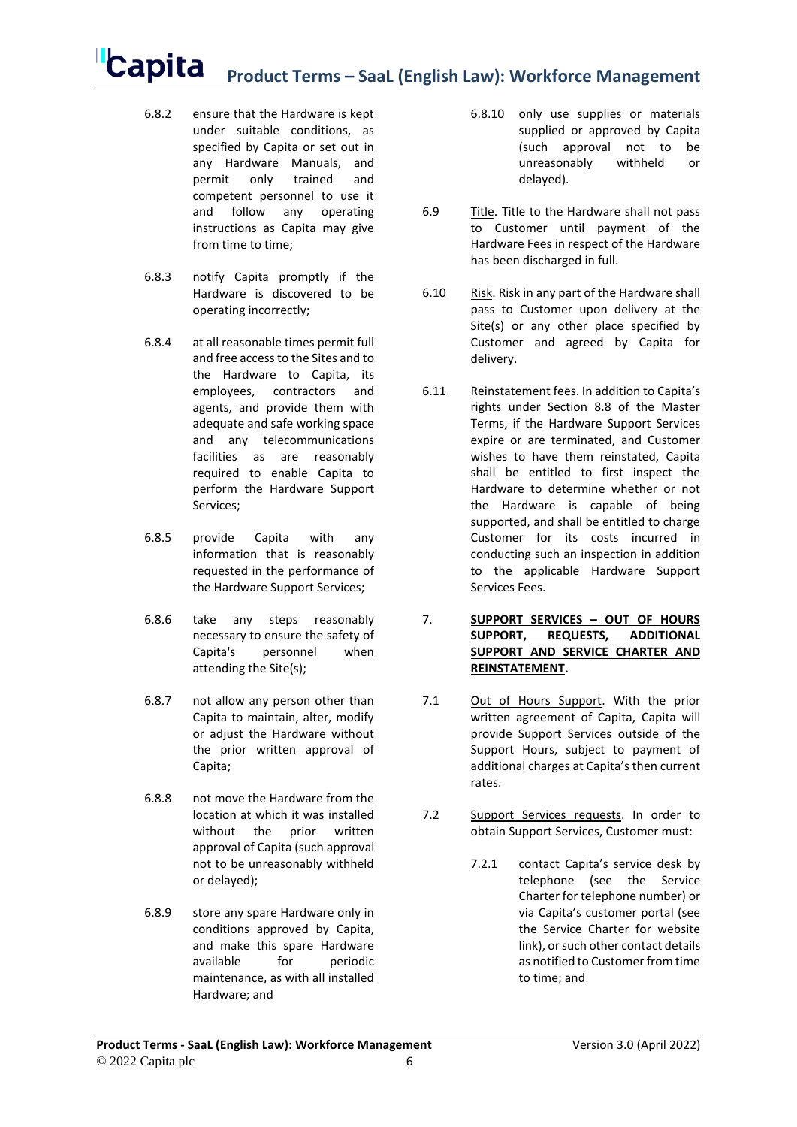- 6.8.2 ensure that the Hardware is kept under suitable conditions, as specified by Capita or set out in any Hardware Manuals, and permit only trained and competent personnel to use it and follow any operating instructions as Capita may give from time to time:
- 6.8.3 notify Capita promptly if the Hardware is discovered to be operating incorrectly;
- 6.8.4 at all reasonable times permit full and free access to the Sites and to the Hardware to Capita, its employees, contractors and agents, and provide them with adequate and safe working space and any telecommunications facilities as are reasonably required to enable Capita to perform the Hardware Support Services;
- 6.8.5 provide Capita with any information that is reasonably requested in the performance of the Hardware Support Services;
- 6.8.6 take any steps reasonably necessary to ensure the safety of Capita's personnel when attending the Site(s);
- 6.8.7 not allow any person other than Capita to maintain, alter, modify or adjust the Hardware without the prior written approval of Capita;
- 6.8.8 not move the Hardware from the location at which it was installed without the prior written approval of Capita (such approval not to be unreasonably withheld or delayed);
- 6.8.9 store any spare Hardware only in conditions approved by Capita, and make this spare Hardware available for periodic maintenance, as with all installed Hardware; and
- 6.8.10 only use supplies or materials supplied or approved by Capita (such approval not to be unreasonably withheld or delayed).
- 6.9 Title. Title to the Hardware shall not pass to Customer until payment of the Hardware Fees in respect of the Hardware has been discharged in full.
- 6.10 Risk. Risk in any part of the Hardware shall pass to Customer upon delivery at the Site(s) or any other place specified by Customer and agreed by Capita for delivery.
- 6.11 Reinstatement fees. In addition to Capita's rights under Section 8.8 of the Master Terms, if the Hardware Support Services expire or are terminated, and Customer wishes to have them reinstated, Capita shall be entitled to first inspect the Hardware to determine whether or not the Hardware is capable of being supported, and shall be entitled to charge Customer for its costs incurred in conducting such an inspection in addition to the applicable Hardware Support Services Fees.
- 7. **SUPPORT SERVICES – OUT OF HOURS SUPPORT, REQUESTS, ADDITIONAL SUPPORT AND SERVICE CHARTER AND REINSTATEMENT.**
- 7.1 Out of Hours Support. With the prior written agreement of Capita, Capita will provide Support Services outside of the Support Hours, subject to payment of additional charges at Capita's then current rates.
- 7.2 Support Services requests. In order to obtain Support Services, Customer must:
	- 7.2.1 contact Capita's service desk by telephone (see the Service Charter for telephone number) or via Capita's customer portal (see the Service Charter for website link), or such other contact details as notified to Customer from time to time; and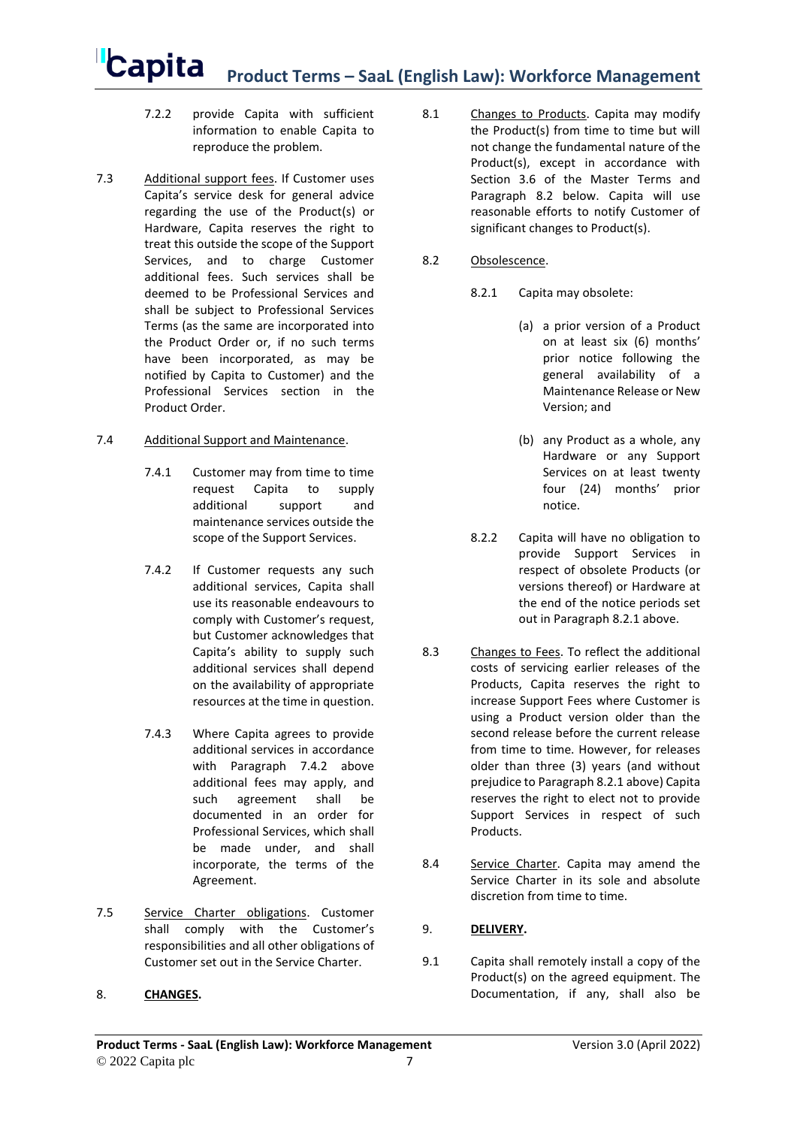- 7.2.2 provide Capita with sufficient information to enable Capita to reproduce the problem.
- 7.3 Additional support fees. If Customer uses Capita's service desk for general advice regarding the use of the Product(s) or Hardware, Capita reserves the right to treat this outside the scope of the Support Services, and to charge Customer additional fees. Such services shall be deemed to be Professional Services and shall be subject to Professional Services Terms (as the same are incorporated into the Product Order or, if no such terms have been incorporated, as may be notified by Capita to Customer) and the Professional Services section in the Product Order.

### <span id="page-6-0"></span>7.4 Additional Support and Maintenance.

- 7.4.1 Customer may from time to time request Capita to supply additional support and maintenance services outside the scope of the Support Services.
- <span id="page-6-1"></span>7.4.2 If Customer requests any such additional services, Capita shall use its reasonable endeavours to comply with Customer's request, but Customer acknowledges that Capita's ability to supply such additional services shall depend on the availability of appropriate resources at the time in question.
- 7.4.3 Where Capita agrees to provide additional services in accordance with Paragraph [7.4.2](#page-6-1) above additional fees may apply, and such agreement shall be documented in an order for Professional Services, which shall be made under, and shall incorporate, the terms of the Agreement.
- 7.5 Service Charter obligations. Customer shall comply with the Customer's responsibilities and all other obligations of Customer set out in the Service Charter.

### 8. **CHANGES.**

8.1 Changes to Products. Capita may modify the Product(s) from time to time but will not change the fundamental nature of the Product(s), except in accordance with Section 3.6 of the Master Terms and Paragraph [8.2](#page-6-2) below. Capita will use reasonable efforts to notify Customer of significant changes to Product(s).

#### <span id="page-6-3"></span><span id="page-6-2"></span>8.2 Obsolescence.

- 8.2.1 Capita may obsolete:
	- (a) a prior version of a Product on at least six (6) months' prior notice following the general availability of a Maintenance Release or New Version; and
	- (b) any Product as a whole, any Hardware or any Support Services on at least twenty four (24) months' prior notice.
- 8.2.2 Capita will have no obligation to provide Support Services in respect of obsolete Products (or versions thereof) or Hardware at the end of the notice periods set out in Paragraph [8.2.1](#page-6-3) above.
- 8.3 Changes to Fees. To reflect the additional costs of servicing earlier releases of the Products, Capita reserves the right to increase Support Fees where Customer is using a Product version older than the second release before the current release from time to time. However, for releases older than three (3) years (and without prejudice to Paragraph [8.2.1](#page-6-3) above) Capita reserves the right to elect not to provide Support Services in respect of such **Products**
- 8.4 Service Charter. Capita may amend the Service Charter in its sole and absolute discretion from time to time.

### 9. **DELIVERY.**

9.1 Capita shall remotely install a copy of the Product(s) on the agreed equipment. The Documentation, if any, shall also be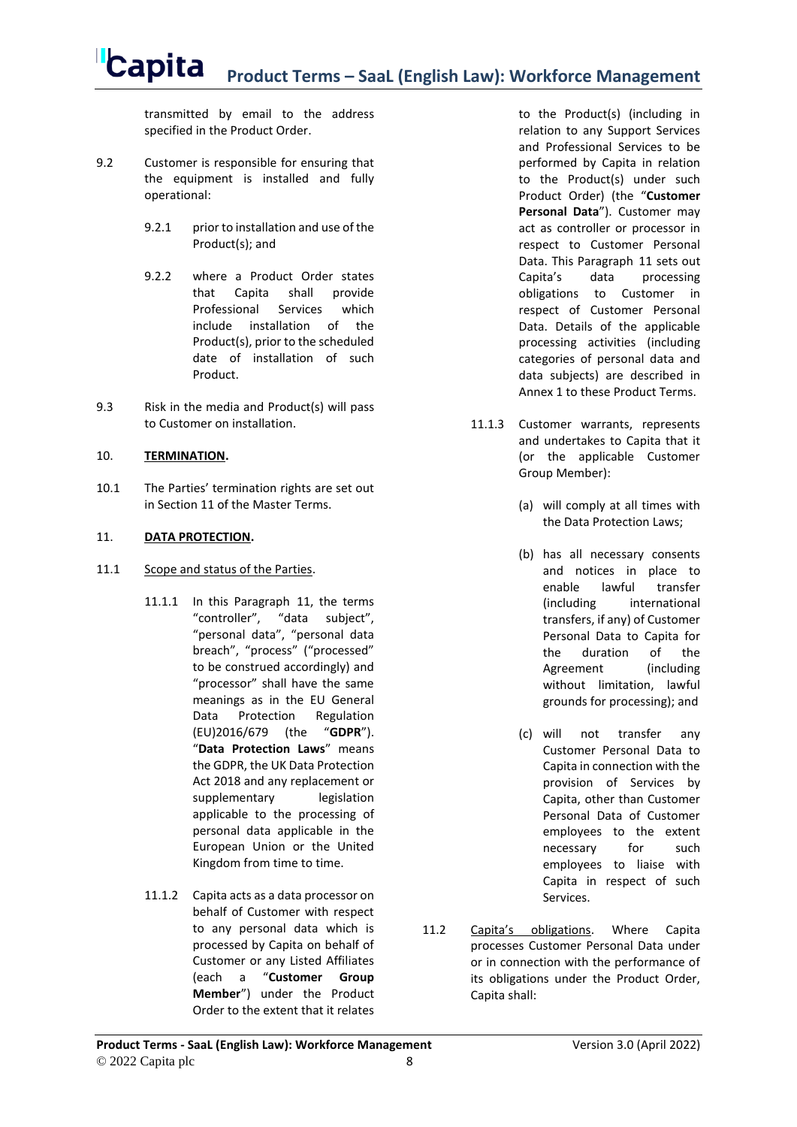transmitted by email to the address specified in the Product Order.

- 9.2 Customer is responsible for ensuring that the equipment is installed and fully operational:
	- 9.2.1 prior to installation and use of the Product(s); and
	- 9.2.2 where a Product Order states that Capita shall provide Professional Services which include installation of the Product(s), prior to the scheduled date of installation of such Product.
- 9.3 Risk in the media and Product(s) will pass to Customer on installation.

### 10. **TERMINATION.**

10.1 The Parties' termination rights are set out in Section 11 of the Master Terms.

### <span id="page-7-0"></span>11. **DATA PROTECTION.**

- 11.1 Scope and status of the Parties.
	- 11.1.1 In this Paragraph [11,](#page-7-0) the terms "controller", "data subject", "personal data", "personal data breach", "process" ("processed" to be construed accordingly) and "processor" shall have the same meanings as in the EU General Data Protection Regulation (EU)2016/679 (the "**GDPR**"). "**Data Protection Laws**" means the GDPR, the UK Data Protection Act 2018 and any replacement or supplementary legislation applicable to the processing of personal data applicable in the European Union or the United Kingdom from time to time.
	- 11.1.2 Capita acts as a data processor on behalf of Customer with respect to any personal data which is processed by Capita on behalf of Customer or any Listed Affiliates (each a "**Customer Group Member**") under the Product Order to the extent that it relates

to the Product(s) (including in relation to any Support Services and Professional Services to be performed by Capita in relation to the Product(s) under such Product Order) (the "**Customer Personal Data**"). Customer may act as controller or processor in respect to Customer Personal Data. This Paragraph [11](#page-7-0) sets out Capita's data processing obligations to Customer in respect of Customer Personal Data. Details of the applicable processing activities (including categories of personal data and data subjects) are described in Annex 1 to these Product Terms.

- <span id="page-7-2"></span>11.1.3 Customer warrants, represents and undertakes to Capita that it (or the applicable Customer Group Member):
	- (a) will comply at all times with the Data Protection Laws;
	- (b) has all necessary consents and notices in place to enable lawful transfer (including international transfers, if any) of Customer Personal Data to Capita for the duration of the Agreement (including without limitation, lawful grounds for processing); and
	- (c) will not transfer any Customer Personal Data to Capita in connection with the provision of Services by Capita, other than Customer Personal Data of Customer employees to the extent necessary for such employees to liaise with Capita in respect of such Services.
- <span id="page-7-3"></span><span id="page-7-1"></span>11.2 Capita's obligations. Where Capita processes Customer Personal Data under or in connection with the performance of its obligations under the Product Order, Capita shall: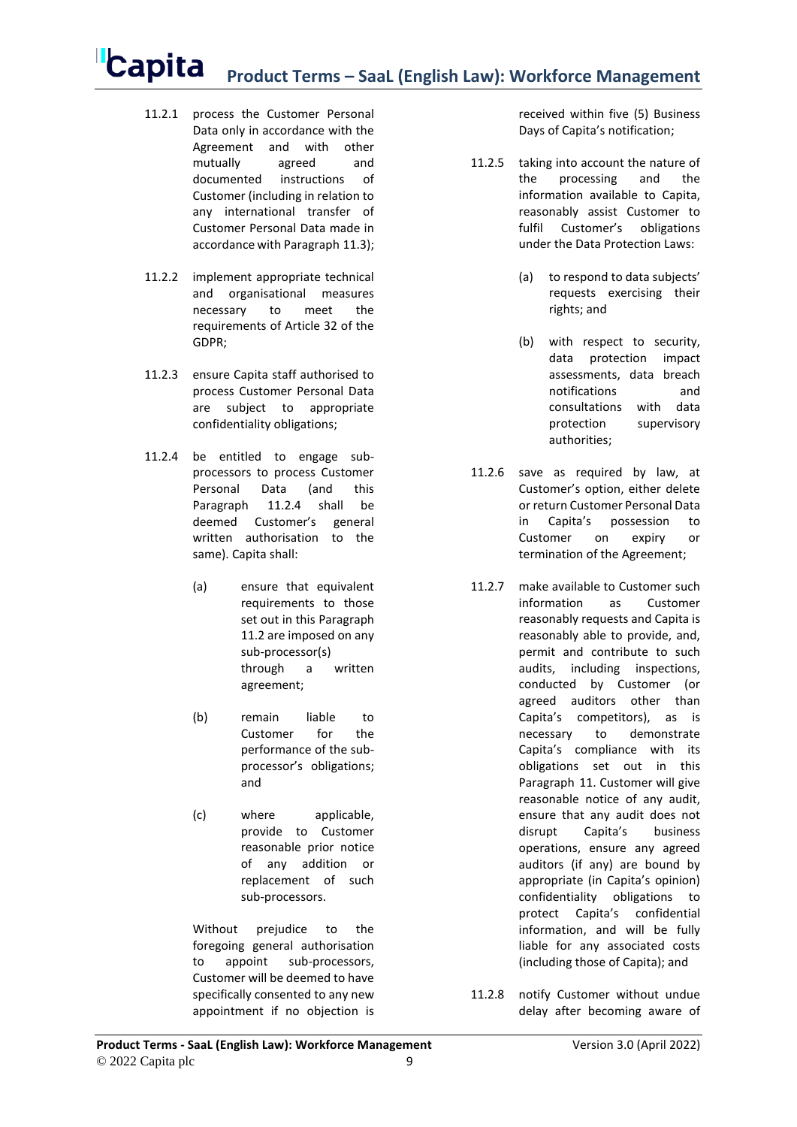- 11.2.1 process the Customer Personal Data only in accordance with the Agreement and with other mutually agreed and documented instructions of Customer (including in relation to any international transfer of Customer Personal Data made in accordance with Paragraph [11.3\)](#page-9-0);
- 11.2.2 implement appropriate technical and organisational measures necessary to meet the requirements of Article 32 of the GDPR;
- 11.2.3 ensure Capita staff authorised to process Customer Personal Data are subject to appropriate confidentiality obligations;
- <span id="page-8-0"></span>11.2.4 be entitled to engage subprocessors to process Customer Personal Data (and this Paragraph [11.2.4](#page-8-0) shall be deemed Customer's general written authorisation to the same). Capita shall:
	- (a) ensure that equivalent requirements to those set out in this Paragraph [11.2](#page-7-1) are imposed on any sub-processor(s) through a written agreement;
	- (b) remain liable to Customer for the performance of the subprocessor's obligations; and
	- (c) where applicable, provide to Customer reasonable prior notice of any addition or replacement of such sub-processors.

Without prejudice to the foregoing general authorisation to appoint sub-processors, Customer will be deemed to have specifically consented to any new appointment if no objection is

received within five (5) Business Days of Capita's notification;

- <span id="page-8-1"></span>11.2.5 taking into account the nature of the processing and the information available to Capita, reasonably assist Customer to fulfil Customer's obligations under the Data Protection Laws:
	- (a) to respond to data subjects' requests exercising their rights; and
	- (b) with respect to security, data protection impact assessments, data breach notifications and consultations with data protection supervisory authorities;
- 11.2.6 save as required by law, at Customer's option, either delete or return Customer Personal Data in Capita's possession to Customer on expiry or termination of the Agreement;
- 11.2.7 make available to Customer such information as Customer reasonably requests and Capita is reasonably able to provide, and, permit and contribute to such audits, including inspections, conducted by Customer (or agreed auditors other than Capita's competitors), as is necessary to demonstrate Capita's compliance with its obligations set out in this Paragraph [11.](#page-7-0) Customer will give reasonable notice of any audit, ensure that any audit does not disrupt Capita's business operations, ensure any agreed auditors (if any) are bound by appropriate (in Capita's opinion) confidentiality obligations to protect Capita's confidential information, and will be fully liable for any associated costs (including those of Capita); and
- <span id="page-8-2"></span>11.2.8 notify Customer without undue delay after becoming aware of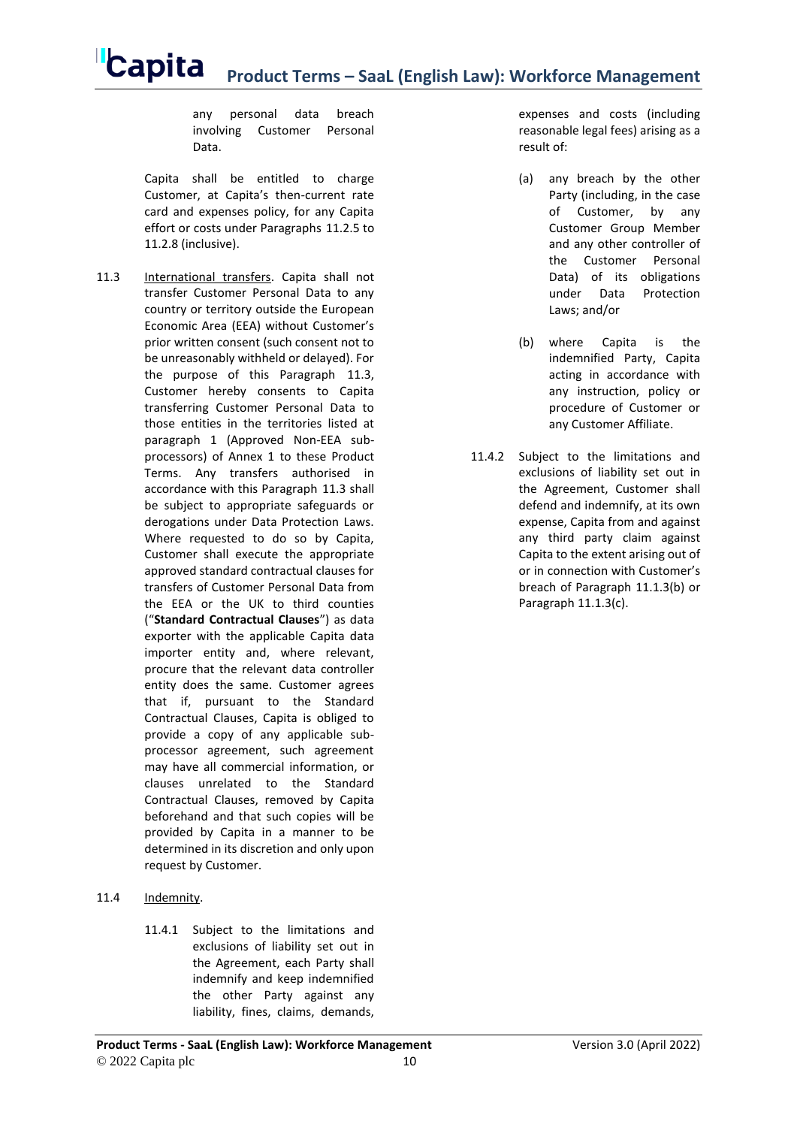any personal data breach involving Customer Personal Data.

Capita shall be entitled to charge Customer, at Capita's then-current rate card and expenses policy, for any Capita effort or costs under Paragraphs [11.2.5](#page-8-1) to [11.2.8](#page-8-2) (inclusive).

- <span id="page-9-0"></span>11.3 International transfers. Capita shall not transfer Customer Personal Data to any country or territory outside the European Economic Area (EEA) without Customer's prior written consent (such consent not to be unreasonably withheld or delayed). For the purpose of this Paragraph [11.3,](#page-9-0) Customer hereby consents to Capita transferring Customer Personal Data to those entities in the territories listed at paragraph [1](#page-10-0) (Approved Non-EEA subprocessors) of Annex 1 to these Product Terms. Any transfers authorised in accordance with this Paragraph [11.3](#page-9-0) shall be subject to appropriate safeguards or derogations under Data Protection Laws. Where requested to do so by Capita, Customer shall execute the appropriate approved standard contractual clauses for transfers of Customer Personal Data from the EEA or the UK to third counties ("**Standard Contractual Clauses**") as data exporter with the applicable Capita data importer entity and, where relevant, procure that the relevant data controller entity does the same. Customer agrees that if, pursuant to the Standard Contractual Clauses, Capita is obliged to provide a copy of any applicable subprocessor agreement, such agreement may have all commercial information, or clauses unrelated to the Standard Contractual Clauses, removed by Capita beforehand and that such copies will be provided by Capita in a manner to be determined in its discretion and only upon request by Customer.
- 11.4 Indemnity.
	- 11.4.1 Subject to the limitations and exclusions of liability set out in the Agreement, each Party shall indemnify and keep indemnified the other Party against any liability, fines, claims, demands,

expenses and costs (including reasonable legal fees) arising as a result of:

- (a) any breach by the other Party (including, in the case of Customer, by any Customer Group Member and any other controller of the Customer Personal Data) of its obligations under Data Protection Laws; and/or
- (b) where Capita is the indemnified Party, Capita acting in accordance with any instruction, policy or procedure of Customer or any Customer Affiliate.
- 11.4.2 Subject to the limitations and exclusions of liability set out in the Agreement, Customer shall defend and indemnify, at its own expense, Capita from and against any third party claim against Capita to the extent arising out of or in connection with Customer's breach of Paragraph [11.1.3\(b\)](#page-7-2) or Paragrap[h 11.1.3\(c\).](#page-7-3)